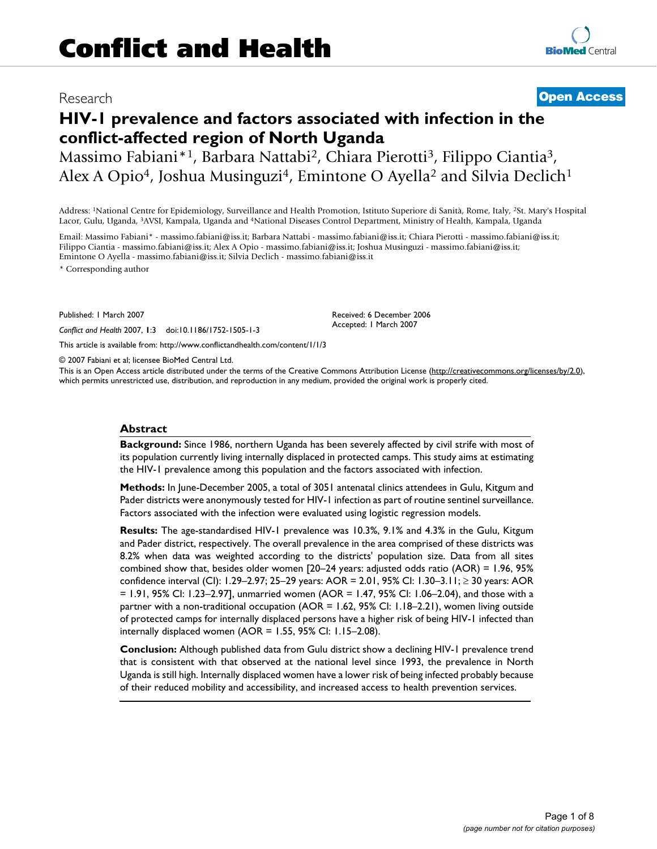# Research **[Open Access](http://www.biomedcentral.com/info/about/charter/)**

# **HIV-1 prevalence and factors associated with infection in the conflict-affected region of North Uganda**

Massimo Fabiani\*1, Barbara Nattabi2, Chiara Pierotti3, Filippo Ciantia3, Alex A Opio<sup>4</sup>, Joshua Musinguzi<sup>4</sup>, Emintone O Ayella<sup>2</sup> and Silvia Declich<sup>1</sup>

Address: 1National Centre for Epidemiology, Surveillance and Health Promotion, Istituto Superiore di Sanità, Rome, Italy, 2St. Mary's Hospital Lacor, Gulu, Uganda, 3AVSI, Kampala, Uganda and 4National Diseases Control Department, Ministry of Health, Kampala, Uganda

Email: Massimo Fabiani\* - massimo.fabiani@iss.it; Barbara Nattabi - massimo.fabiani@iss.it; Chiara Pierotti - massimo.fabiani@iss.it; Filippo Ciantia - massimo.fabiani@iss.it; Alex A Opio - massimo.fabiani@iss.it; Joshua Musinguzi - massimo.fabiani@iss.it; Emintone O Ayella - massimo.fabiani@iss.it; Silvia Declich - massimo.fabiani@iss.it

\* Corresponding author

Published: 1 March 2007

*Conflict and Health* 2007, **1**:3 doi:10.1186/1752-1505-1-3

Accepted: 1 March 2007

Received: 6 December 2006

[This article is available from: http://www.conflictandhealth.com/content/1/1/3](http://www.conflictandhealth.com/content/1/1/3)

© 2007 Fabiani et al; licensee BioMed Central Ltd.

This is an Open Access article distributed under the terms of the Creative Commons Attribution License [\(http://creativecommons.org/licenses/by/2.0\)](http://creativecommons.org/licenses/by/2.0), which permits unrestricted use, distribution, and reproduction in any medium, provided the original work is properly cited.

#### **Abstract**

**Background:** Since 1986, northern Uganda has been severely affected by civil strife with most of its population currently living internally displaced in protected camps. This study aims at estimating the HIV-1 prevalence among this population and the factors associated with infection.

**Methods:** In June-December 2005, a total of 3051 antenatal clinics attendees in Gulu, Kitgum and Pader districts were anonymously tested for HIV-1 infection as part of routine sentinel surveillance. Factors associated with the infection were evaluated using logistic regression models.

**Results:** The age-standardised HIV-1 prevalence was 10.3%, 9.1% and 4.3% in the Gulu, Kitgum and Pader district, respectively. The overall prevalence in the area comprised of these districts was 8.2% when data was weighted according to the districts' population size. Data from all sites combined show that, besides older women [20–24 years: adjusted odds ratio (AOR) = 1.96, 95% confidence interval (CI): 1.29–2.97; 25–29 years: AOR = 2.01, 95% CI: 1.30–3.11; ≥ 30 years: AOR = 1.91, 95% CI: 1.23–2.97], unmarried women (AOR = 1.47, 95% CI: 1.06–2.04), and those with a partner with a non-traditional occupation (AOR = 1.62, 95% CI: 1.18–2.21), women living outside of protected camps for internally displaced persons have a higher risk of being HIV-1 infected than internally displaced women (AOR = 1.55, 95% CI: 1.15–2.08).

**Conclusion:** Although published data from Gulu district show a declining HIV-1 prevalence trend that is consistent with that observed at the national level since 1993, the prevalence in North Uganda is still high. Internally displaced women have a lower risk of being infected probably because of their reduced mobility and accessibility, and increased access to health prevention services.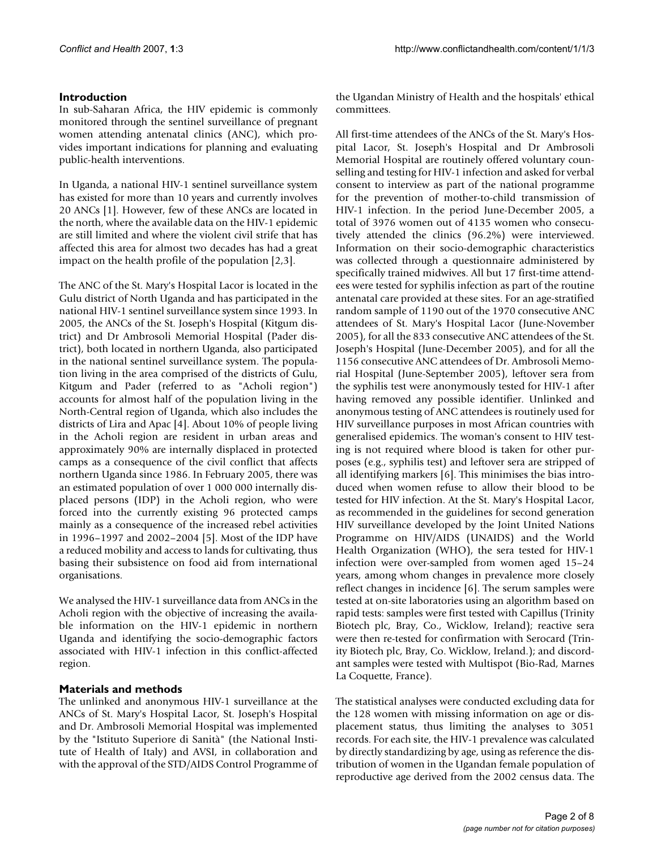# **Introduction**

In sub-Saharan Africa, the HIV epidemic is commonly monitored through the sentinel surveillance of pregnant women attending antenatal clinics (ANC), which provides important indications for planning and evaluating public-health interventions.

In Uganda, a national HIV-1 sentinel surveillance system has existed for more than 10 years and currently involves 20 ANCs [1]. However, few of these ANCs are located in the north, where the available data on the HIV-1 epidemic are still limited and where the violent civil strife that has affected this area for almost two decades has had a great impact on the health profile of the population [2,3].

The ANC of the St. Mary's Hospital Lacor is located in the Gulu district of North Uganda and has participated in the national HIV-1 sentinel surveillance system since 1993. In 2005, the ANCs of the St. Joseph's Hospital (Kitgum district) and Dr Ambrosoli Memorial Hospital (Pader district), both located in northern Uganda, also participated in the national sentinel surveillance system. The population living in the area comprised of the districts of Gulu, Kitgum and Pader (referred to as "Acholi region") accounts for almost half of the population living in the North-Central region of Uganda, which also includes the districts of Lira and Apac [4]. About 10% of people living in the Acholi region are resident in urban areas and approximately 90% are internally displaced in protected camps as a consequence of the civil conflict that affects northern Uganda since 1986. In February 2005, there was an estimated population of over 1 000 000 internally displaced persons (IDP) in the Acholi region, who were forced into the currently existing 96 protected camps mainly as a consequence of the increased rebel activities in 1996–1997 and 2002–2004 [5]. Most of the IDP have a reduced mobility and access to lands for cultivating, thus basing their subsistence on food aid from international organisations.

We analysed the HIV-1 surveillance data from ANCs in the Acholi region with the objective of increasing the available information on the HIV-1 epidemic in northern Uganda and identifying the socio-demographic factors associated with HIV-1 infection in this conflict-affected region.

## **Materials and methods**

The unlinked and anonymous HIV-1 surveillance at the ANCs of St. Mary's Hospital Lacor, St. Joseph's Hospital and Dr. Ambrosoli Memorial Hospital was implemented by the "Istituto Superiore di Sanità" (the National Institute of Health of Italy) and AVSI, in collaboration and with the approval of the STD/AIDS Control Programme of the Ugandan Ministry of Health and the hospitals' ethical committees.

All first-time attendees of the ANCs of the St. Mary's Hospital Lacor, St. Joseph's Hospital and Dr Ambrosoli Memorial Hospital are routinely offered voluntary counselling and testing for HIV-1 infection and asked for verbal consent to interview as part of the national programme for the prevention of mother-to-child transmission of HIV-1 infection. In the period June-December 2005, a total of 3976 women out of 4135 women who consecutively attended the clinics (96.2%) were interviewed. Information on their socio-demographic characteristics was collected through a questionnaire administered by specifically trained midwives. All but 17 first-time attendees were tested for syphilis infection as part of the routine antenatal care provided at these sites. For an age-stratified random sample of 1190 out of the 1970 consecutive ANC attendees of St. Mary's Hospital Lacor (June-November 2005), for all the 833 consecutive ANC attendees of the St. Joseph's Hospital (June-December 2005), and for all the 1156 consecutive ANC attendees of Dr. Ambrosoli Memorial Hospital (June-September 2005), leftover sera from the syphilis test were anonymously tested for HIV-1 after having removed any possible identifier. Unlinked and anonymous testing of ANC attendees is routinely used for HIV surveillance purposes in most African countries with generalised epidemics. The woman's consent to HIV testing is not required where blood is taken for other purposes (e.g., syphilis test) and leftover sera are stripped of all identifying markers [6]. This minimises the bias introduced when women refuse to allow their blood to be tested for HIV infection. At the St. Mary's Hospital Lacor, as recommended in the guidelines for second generation HIV surveillance developed by the Joint United Nations Programme on HIV/AIDS (UNAIDS) and the World Health Organization (WHO), the sera tested for HIV-1 infection were over-sampled from women aged 15–24 years, among whom changes in prevalence more closely reflect changes in incidence [6]. The serum samples were tested at on-site laboratories using an algorithm based on rapid tests: samples were first tested with Capillus (Trinity Biotech plc, Bray, Co., Wicklow, Ireland); reactive sera were then re-tested for confirmation with Serocard (Trinity Biotech plc, Bray, Co. Wicklow, Ireland.); and discordant samples were tested with Multispot (Bio-Rad, Marnes La Coquette, France).

The statistical analyses were conducted excluding data for the 128 women with missing information on age or displacement status, thus limiting the analyses to 3051 records. For each site, the HIV-1 prevalence was calculated by directly standardizing by age, using as reference the distribution of women in the Ugandan female population of reproductive age derived from the 2002 census data. The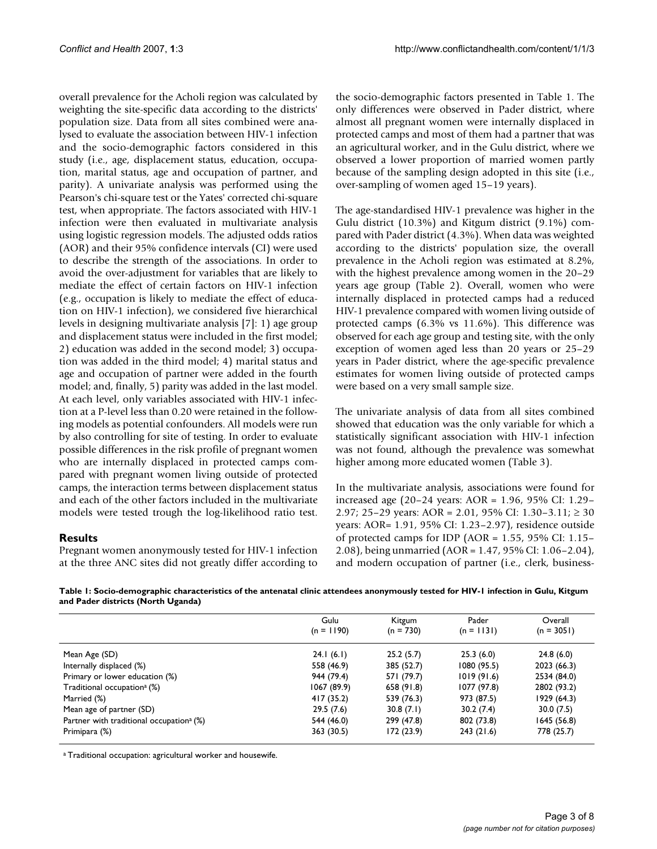overall prevalence for the Acholi region was calculated by weighting the site-specific data according to the districts' population size. Data from all sites combined were analysed to evaluate the association between HIV-1 infection and the socio-demographic factors considered in this study (i.e., age, displacement status, education, occupation, marital status, age and occupation of partner, and parity). A univariate analysis was performed using the Pearson's chi-square test or the Yates' corrected chi-square test, when appropriate. The factors associated with HIV-1 infection were then evaluated in multivariate analysis using logistic regression models. The adjusted odds ratios (AOR) and their 95% confidence intervals (CI) were used to describe the strength of the associations. In order to avoid the over-adjustment for variables that are likely to mediate the effect of certain factors on HIV-1 infection (e.g., occupation is likely to mediate the effect of education on HIV-1 infection), we considered five hierarchical levels in designing multivariate analysis [7]: 1) age group and displacement status were included in the first model; 2) education was added in the second model; 3) occupation was added in the third model; 4) marital status and age and occupation of partner were added in the fourth model; and, finally, 5) parity was added in the last model. At each level, only variables associated with HIV-1 infection at a P-level less than 0.20 were retained in the following models as potential confounders. All models were run by also controlling for site of testing. In order to evaluate possible differences in the risk profile of pregnant women who are internally displaced in protected camps compared with pregnant women living outside of protected camps, the interaction terms between displacement status and each of the other factors included in the multivariate models were tested trough the log-likelihood ratio test.

## **Results**

Pregnant women anonymously tested for HIV-1 infection at the three ANC sites did not greatly differ according to the socio-demographic factors presented in Table 1. The only differences were observed in Pader district, where almost all pregnant women were internally displaced in protected camps and most of them had a partner that was an agricultural worker, and in the Gulu district, where we observed a lower proportion of married women partly because of the sampling design adopted in this site (i.e., over-sampling of women aged 15–19 years).

The age-standardised HIV-1 prevalence was higher in the Gulu district (10.3%) and Kitgum district (9.1%) compared with Pader district (4.3%). When data was weighted according to the districts' population size, the overall prevalence in the Acholi region was estimated at 8.2%, with the highest prevalence among women in the 20–29 years age group (Table 2). Overall, women who were internally displaced in protected camps had a reduced HIV-1 prevalence compared with women living outside of protected camps (6.3% vs 11.6%). This difference was observed for each age group and testing site, with the only exception of women aged less than 20 years or 25–29 years in Pader district, where the age-specific prevalence estimates for women living outside of protected camps were based on a very small sample size.

The univariate analysis of data from all sites combined showed that education was the only variable for which a statistically significant association with HIV-1 infection was not found, although the prevalence was somewhat higher among more educated women (Table 3).

In the multivariate analysis, associations were found for increased age (20–24 years: AOR = 1.96, 95% CI: 1.29– 2.97; 25–29 years: AOR = 2.01, 95% CI: 1.30–3.11; ≥ 30 years: AOR= 1.91, 95% CI: 1.23–2.97), residence outside of protected camps for IDP (AOR =  $1.55$ ,  $95\%$  CI:  $1.15-$ 2.08), being unmarried (AOR = 1.47, 95% CI: 1.06–2.04), and modern occupation of partner (i.e., clerk, business-

**Table 1: Socio-demographic characteristics of the antenatal clinic attendees anonymously tested for HIV-1 infection in Gulu, Kitgum and Pader districts (North Uganda)**

|                                                      | Gulu         | Kitgum<br>$(n = 730)$ | Pader        | Overall      |
|------------------------------------------------------|--------------|-----------------------|--------------|--------------|
|                                                      | $(n = 1190)$ |                       | $(n = 1131)$ | $(n = 3051)$ |
| Mean Age (SD)                                        | 24.1(6.1)    | 25.2(5.7)             | 25.3(6.0)    | 24.8(6.0)    |
| Internally displaced (%)                             | 558 (46.9)   | 385 (52.7)            | 1080(95.5)   | 2023 (66.3)  |
| Primary or lower education (%)                       | 944 (79.4)   | 571 (79.7)            | 1019(91.6)   | 2534 (84.0)  |
| Traditional occupation <sup>a</sup> (%)              | 1067 (89.9)  | 658 (91.8)            | 1077 (97.8)  | 2802 (93.2)  |
| Married (%)                                          | 417 (35.2)   | 539 (76.3)            | 973 (87.5)   | 1929 (64.3)  |
| Mean age of partner (SD)                             | 29.5(7.6)    | 30.8(7.1)             | 30.2(7.4)    | 30.0(7.5)    |
| Partner with traditional occupation <sup>a</sup> (%) | 544 (46.0)   | 299 (47.8)            | 802 (73.8)   | 1645 (56.8)  |
| Primipara (%)                                        | 363 (30.5)   | 172(23.9)             | 243(21.6)    | 778 (25.7)   |

a Traditional occupation: agricultural worker and housewife.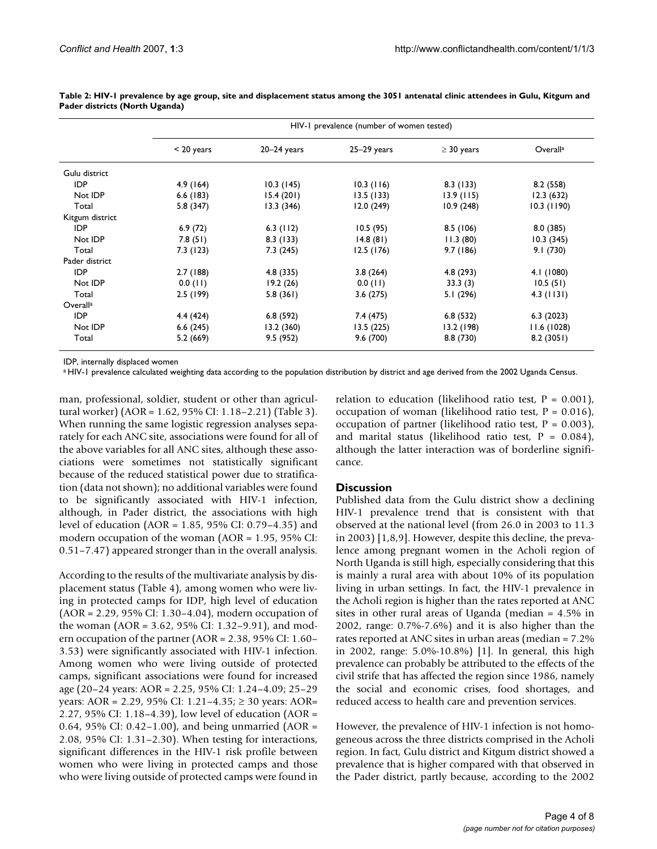|                      | HIV-1 prevalence (number of women tested) |                 |               |                 |               |  |
|----------------------|-------------------------------------------|-----------------|---------------|-----------------|---------------|--|
|                      | $< 20$ years                              | $20 - 24$ years | $25-29$ years | $\geq$ 30 years | Overalla      |  |
| Gulu district        |                                           |                 |               |                 |               |  |
| IDP                  | 4.9(164)                                  | 10.3(145)       | 10.3(116)     | 8.3(133)        | 8.2(558)      |  |
| Not IDP              | 6.6(183)                                  | 15.4(201)       | 13.5(133)     | 13.9(115)       | 12.3(632)     |  |
| Total                | 5.8(347)                                  | 13.3(346)       | 12.0(249)     | 10.9(248)       | $10.3$ (1190) |  |
| Kitgum district      |                                           |                 |               |                 |               |  |
| <b>IDP</b>           | 6.9(72)                                   | $6.3$ (112)     | 10.5(95)      | 8.5(106)        | 8.0(385)      |  |
| Not IDP              | 7.8(51)                                   | 8.3(133)        | 14.8(81)      | 11.3(80)        | 10.3(345)     |  |
| Total                | 7.3(123)                                  | 7.3(245)        | 12.5(176)     | 9.7(186)        | 9.1(730)      |  |
| Pader district       |                                           |                 |               |                 |               |  |
| <b>IDP</b>           | 2.7(188)                                  | 4.8 (335)       | 3.8(264)      | 4.8 (293)       | 4.1 (1080)    |  |
| Not IDP              | 0.0(11)                                   | 19.2(26)        | $0.0$ (11)    | 33.3(3)         | 10.5(51)      |  |
| Total                | 2.5(199)                                  | 5.8(361)        | 3.6(275)      | 5.1 (296)       | $4.3$ (1131)  |  |
| Overall <sup>a</sup> |                                           |                 |               |                 |               |  |
| <b>IDP</b>           | 4.4(424)                                  | 6.8(592)        | 7.4 (475)     | 6.8(532)        | 6.3(2023)     |  |
| Not IDP              | 6.6(245)                                  | 13.2(360)       | 13.5(225)     | 13.2 (198)      | 11.6(1028)    |  |
| Total                | 5.2(669)                                  | 9.5(952)        | 9.6(700)      | 8.8(730)        | 8.2(3051)     |  |

**Table 2: HIV-1 prevalence by age group, site and displacement status among the 3051 antenatal clinic attendees in Gulu, Kitgum and Pader districts (North Uganda)**

IDP, internally displaced women

a HIV-1 prevalence calculated weighting data according to the population distribution by district and age derived from the 2002 Uganda Census.

man, professional, soldier, student or other than agricultural worker) (AOR = 1.62, 95% CI: 1.18–2.21) (Table 3). When running the same logistic regression analyses separately for each ANC site, associations were found for all of the above variables for all ANC sites, although these associations were sometimes not statistically significant because of the reduced statistical power due to stratification (data not shown); no additional variables were found to be significantly associated with HIV-1 infection, although, in Pader district, the associations with high level of education (AOR = 1.85, 95% CI: 0.79–4.35) and modern occupation of the woman (AOR = 1.95, 95% CI: 0.51–7.47) appeared stronger than in the overall analysis.

According to the results of the multivariate analysis by displacement status (Table 4), among women who were living in protected camps for IDP, high level of education (AOR = 2.29, 95% CI: 1.30–4.04), modern occupation of the woman (AOR = 3.62, 95% CI: 1.32–9.91), and modern occupation of the partner (AOR = 2.38, 95% CI: 1.60– 3.53) were significantly associated with HIV-1 infection. Among women who were living outside of protected camps, significant associations were found for increased age (20–24 years: AOR = 2.25, 95% CI: 1.24–4.09; 25–29 years: AOR = 2.29, 95% CI: 1.21–4.35; ≥ 30 years: AOR= 2.27, 95% CI: 1.18–4.39), low level of education (AOR = 0.64, 95% CI: 0.42–1.00), and being unmarried (AOR = 2.08, 95% CI: 1.31–2.30). When testing for interactions, significant differences in the HIV-1 risk profile between women who were living in protected camps and those who were living outside of protected camps were found in

relation to education (likelihood ratio test,  $P = 0.001$ ), occupation of woman (likelihood ratio test,  $P = 0.016$ ), occupation of partner (likelihood ratio test,  $P = 0.003$ ), and marital status (likelihood ratio test,  $P = 0.084$ ), although the latter interaction was of borderline significance.

## **Discussion**

Published data from the Gulu district show a declining HIV-1 prevalence trend that is consistent with that observed at the national level (from 26.0 in 2003 to 11.3 in 2003) [1,8,9]. However, despite this decline, the prevalence among pregnant women in the Acholi region of North Uganda is still high, especially considering that this is mainly a rural area with about 10% of its population living in urban settings. In fact, the HIV-1 prevalence in the Acholi region is higher than the rates reported at ANC sites in other rural areas of Uganda (median = 4.5% in 2002, range: 0.7%-7.6%) and it is also higher than the rates reported at ANC sites in urban areas (median = 7.2% in 2002, range: 5.0%-10.8%) [1]. In general, this high prevalence can probably be attributed to the effects of the civil strife that has affected the region since 1986, namely the social and economic crises, food shortages, and reduced access to health care and prevention services.

However, the prevalence of HIV-1 infection is not homogeneous across the three districts comprised in the Acholi region. In fact, Gulu district and Kitgum district showed a prevalence that is higher compared with that observed in the Pader district, partly because, according to the 2002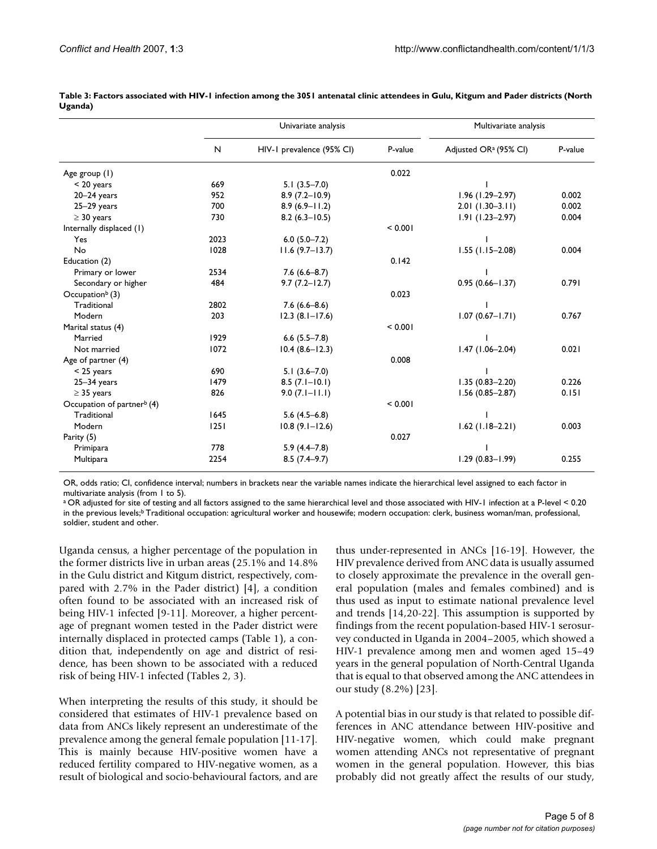|                                        |              | Univariate analysis       |         | Multivariate analysis             |         |
|----------------------------------------|--------------|---------------------------|---------|-----------------------------------|---------|
|                                        | $\mathsf{N}$ | HIV-1 prevalence (95% CI) | P-value | Adjusted OR <sup>a</sup> (95% CI) | P-value |
| Age group (1)                          |              |                           | 0.022   |                                   |         |
| $< 20$ years                           | 669          | $5.1(3.5 - 7.0)$          |         |                                   |         |
| $20 - 24$ years                        | 952          | $8.9(7.2 - 10.9)$         |         | 1.96 (1.29-2.97)                  | 0.002   |
| $25-29$ years                          | 700          | $8.9(6.9 - 11.2)$         |         | $2.01(1.30-3.11)$                 | 0.002   |
| $\geq$ 30 years                        | 730          | $8.2(6.3 - 10.5)$         |         | $1.91(1.23 - 2.97)$               | 0.004   |
| Internally displaced (1)               |              |                           | < 0.001 |                                   |         |
| Yes                                    | 2023         | $6.0(5.0 - 7.2)$          |         |                                   |         |
| No                                     | 1028         | $11.6(9.7-13.7)$          |         | $1.55$ (1.15-2.08)                | 0.004   |
| Education (2)                          |              |                           | 0.142   |                                   |         |
| Primary or lower                       | 2534         | $7.6(6.6 - 8.7)$          |         |                                   |         |
| Secondary or higher                    | 484          | $9.7(7.2 - 12.7)$         |         | $0.95(0.66 - 1.37)$               | 0.791   |
| Occupation $\flat$ (3)                 |              |                           | 0.023   |                                   |         |
| Traditional                            | 2802         | $7.6(6.6-8.6)$            |         |                                   |         |
| Modern                                 | 203          | $12.3(8.1 - 17.6)$        |         | $1.07(0.67 - 1.71)$               | 0.767   |
| Marital status (4)                     |              |                           | < 0.001 |                                   |         |
| Married                                | 1929         | $6.6$ $(5.5 - 7.8)$       |         |                                   |         |
| Not married                            | 1072         | $10.4(8.6 - 12.3)$        |         | $1.47(1.06 - 2.04)$               | 0.021   |
| Age of partner (4)                     |              |                           | 0.008   |                                   |         |
| $<$ 25 years                           | 690          | $5.1(3.6 - 7.0)$          |         |                                   |         |
| $25 - 34$ years                        | 1479         | $8.5(7.1 - 10.1)$         |         | $1.35(0.83 - 2.20)$               | 0.226   |
| $\geq$ 35 years                        | 826          | $9.0(7.1 - 11.1)$         |         | $1.56(0.85 - 2.87)$               | 0.151   |
| Occupation of partner <sup>b</sup> (4) |              |                           | < 0.001 |                                   |         |
| Traditional                            | 1645         | $5.6(4.5-6.8)$            |         |                                   |         |
| Modern                                 | 1251         | $10.8(9.1 - 12.6)$        |         | $1.62$ (1.18-2.21)                | 0.003   |
| Parity (5)                             |              |                           | 0.027   |                                   |         |
| Primipara                              | 778          | $5.9(4.4 - 7.8)$          |         |                                   |         |
| Multipara                              | 2254         | $8.5(7.4-9.7)$            |         | 1.29 (0.83-1.99)                  | 0.255   |

**Table 3: Factors associated with HIV-1 infection among the 3051 antenatal clinic attendees in Gulu, Kitgum and Pader districts (North Uganda)**

OR, odds ratio; CI, confidence interval; numbers in brackets near the variable names indicate the hierarchical level assigned to each factor in multivariate analysis (from 1 to 5).

a OR adjusted for site of testing and all factors assigned to the same hierarchical level and those associated with HIV-1 infection at a P-level < 0.20 in the previous levels;<sup>b</sup> Traditional occupation: agricultural worker and housewife; modern occupation: clerk, business woman/man, professional, soldier, student and other.

Uganda census, a higher percentage of the population in the former districts live in urban areas (25.1% and 14.8% in the Gulu district and Kitgum district, respectively, compared with 2.7% in the Pader district) [4], a condition often found to be associated with an increased risk of being HIV-1 infected [9-11]. Moreover, a higher percentage of pregnant women tested in the Pader district were internally displaced in protected camps (Table 1), a condition that, independently on age and district of residence, has been shown to be associated with a reduced risk of being HIV-1 infected (Tables 2, 3).

When interpreting the results of this study, it should be considered that estimates of HIV-1 prevalence based on data from ANCs likely represent an underestimate of the prevalence among the general female population [11-17]. This is mainly because HIV-positive women have a reduced fertility compared to HIV-negative women, as a result of biological and socio-behavioural factors, and are thus under-represented in ANCs [16-19]. However, the HIV prevalence derived from ANC data is usually assumed to closely approximate the prevalence in the overall general population (males and females combined) and is thus used as input to estimate national prevalence level and trends [14,20-22]. This assumption is supported by findings from the recent population-based HIV-1 serosurvey conducted in Uganda in 2004–2005, which showed a HIV-1 prevalence among men and women aged 15–49 years in the general population of North-Central Uganda that is equal to that observed among the ANC attendees in our study (8.2%) [23].

A potential bias in our study is that related to possible differences in ANC attendance between HIV-positive and HIV-negative women, which could make pregnant women attending ANCs not representative of pregnant women in the general population. However, this bias probably did not greatly affect the results of our study,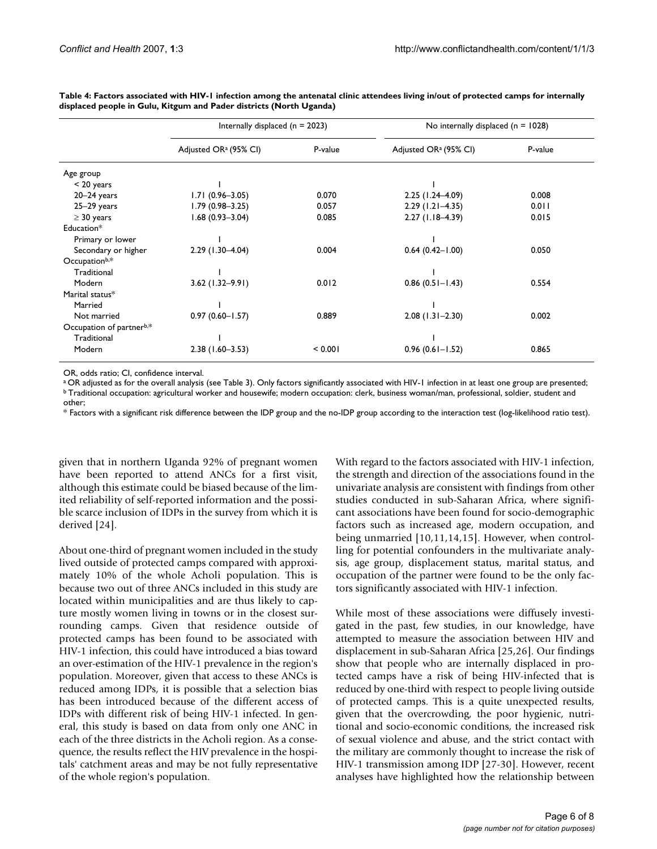|                          | Internally displaced ( $n = 2023$ ) |         | No internally displaced ( $n = 1028$ ) |         |  |
|--------------------------|-------------------------------------|---------|----------------------------------------|---------|--|
|                          | Adjusted OR <sup>a</sup> (95% CI)   | P-value | Adjusted OR <sup>a</sup> (95% CI)      | P-value |  |
| Age group                |                                     |         |                                        |         |  |
| $<$ 20 years             |                                     |         |                                        |         |  |
| $20 - 24$ years          | $1.71(0.96 - 3.05)$                 | 0.070   | $2.25$ (1.24-4.09)                     | 0.008   |  |
| $25-29$ years            | $1.79(0.98 - 3.25)$                 | 0.057   | $2.29$ (1.21-4.35)                     | 0.011   |  |
| $\geq$ 30 years          | $1.68(0.93 - 3.04)$                 | 0.085   | $2.27(1.18 - 4.39)$                    | 0.015   |  |
| Education*               |                                     |         |                                        |         |  |
| Primary or lower         |                                     |         |                                        |         |  |
| Secondary or higher      | 2.29 (1.30-4.04)                    | 0.004   | $0.64$ (0.42-1.00)                     | 0.050   |  |
| Occupationb,*            |                                     |         |                                        |         |  |
| Traditional              |                                     |         |                                        |         |  |
| Modern                   | $3.62$ (1.32-9.91)                  | 0.012   | $0.86(0.51 - 1.43)$                    | 0.554   |  |
| Marital status*          |                                     |         |                                        |         |  |
| Married                  |                                     |         |                                        |         |  |
| Not married              | $0.97(0.60 - 1.57)$                 | 0.889   | $2.08$ (1.31-2.30)                     | 0.002   |  |
| Occupation of partnerb,* |                                     |         |                                        |         |  |
| Traditional              |                                     |         |                                        |         |  |
| Modern                   | $2.38(1.60 - 3.53)$                 | < 0.001 | $0.96(0.61 - 1.52)$                    | 0.865   |  |

**Table 4: Factors associated with HIV-1 infection among the antenatal clinic attendees living in/out of protected camps for internally displaced people in Gulu, Kitgum and Pader districts (North Uganda)**

OR, odds ratio; CI, confidence interval.<br><sup>a</sup> OR adjusted as for the overall analysis (see Table 3). Only factors significantly associated with HIV-1 infection in at least one group are presented; <sup>b</sup> Traditional occupation: agricultural worker and housewife; modern occupation: clerk, business woman/man, professional, soldier, student and other;

\* Factors with a significant risk difference between the IDP group and the no-IDP group according to the interaction test (log-likelihood ratio test).

given that in northern Uganda 92% of pregnant women have been reported to attend ANCs for a first visit, although this estimate could be biased because of the limited reliability of self-reported information and the possible scarce inclusion of IDPs in the survey from which it is derived [24].

About one-third of pregnant women included in the study lived outside of protected camps compared with approximately 10% of the whole Acholi population. This is because two out of three ANCs included in this study are located within municipalities and are thus likely to capture mostly women living in towns or in the closest surrounding camps. Given that residence outside of protected camps has been found to be associated with HIV-1 infection, this could have introduced a bias toward an over-estimation of the HIV-1 prevalence in the region's population. Moreover, given that access to these ANCs is reduced among IDPs, it is possible that a selection bias has been introduced because of the different access of IDPs with different risk of being HIV-1 infected. In general, this study is based on data from only one ANC in each of the three districts in the Acholi region. As a consequence, the results reflect the HIV prevalence in the hospitals' catchment areas and may be not fully representative of the whole region's population.

With regard to the factors associated with HIV-1 infection, the strength and direction of the associations found in the univariate analysis are consistent with findings from other studies conducted in sub-Saharan Africa, where significant associations have been found for socio-demographic factors such as increased age, modern occupation, and being unmarried [10,11,14,15]. However, when controlling for potential confounders in the multivariate analysis, age group, displacement status, marital status, and occupation of the partner were found to be the only factors significantly associated with HIV-1 infection.

While most of these associations were diffusely investigated in the past, few studies, in our knowledge, have attempted to measure the association between HIV and displacement in sub-Saharan Africa [25,26]. Our findings show that people who are internally displaced in protected camps have a risk of being HIV-infected that is reduced by one-third with respect to people living outside of protected camps. This is a quite unexpected results, given that the overcrowding, the poor hygienic, nutritional and socio-economic conditions, the increased risk of sexual violence and abuse, and the strict contact with the military are commonly thought to increase the risk of HIV-1 transmission among IDP [27-30]. However, recent analyses have highlighted how the relationship between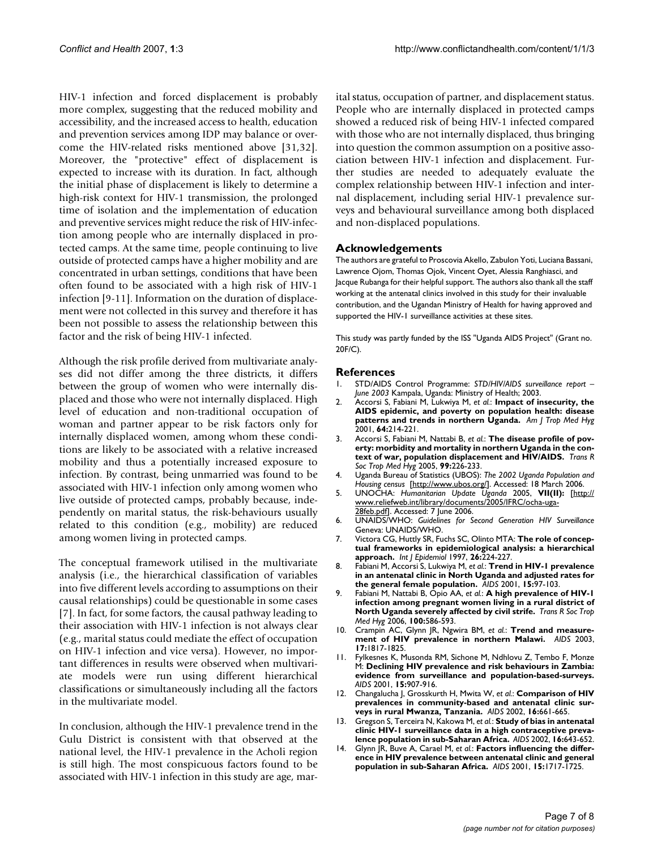HIV-1 infection and forced displacement is probably more complex, suggesting that the reduced mobility and accessibility, and the increased access to health, education and prevention services among IDP may balance or overcome the HIV-related risks mentioned above [31,32]. Moreover, the "protective" effect of displacement is expected to increase with its duration. In fact, although the initial phase of displacement is likely to determine a high-risk context for HIV-1 transmission, the prolonged time of isolation and the implementation of education and preventive services might reduce the risk of HIV-infection among people who are internally displaced in protected camps. At the same time, people continuing to live outside of protected camps have a higher mobility and are concentrated in urban settings, conditions that have been often found to be associated with a high risk of HIV-1 infection [9-11]. Information on the duration of displacement were not collected in this survey and therefore it has been not possible to assess the relationship between this factor and the risk of being HIV-1 infected.

Although the risk profile derived from multivariate analyses did not differ among the three districts, it differs between the group of women who were internally displaced and those who were not internally displaced. High level of education and non-traditional occupation of woman and partner appear to be risk factors only for internally displaced women, among whom these conditions are likely to be associated with a relative increased mobility and thus a potentially increased exposure to infection. By contrast, being unmarried was found to be associated with HIV-1 infection only among women who live outside of protected camps, probably because, independently on marital status, the risk-behaviours usually related to this condition (e.g., mobility) are reduced among women living in protected camps.

The conceptual framework utilised in the multivariate analysis (i.e., the hierarchical classification of variables into five different levels according to assumptions on their causal relationships) could be questionable in some cases [7]. In fact, for some factors, the causal pathway leading to their association with HIV-1 infection is not always clear (e.g., marital status could mediate the effect of occupation on HIV-1 infection and vice versa). However, no important differences in results were observed when multivariate models were run using different hierarchical classifications or simultaneously including all the factors in the multivariate model.

In conclusion, although the HIV-1 prevalence trend in the Gulu District is consistent with that observed at the national level, the HIV-1 prevalence in the Acholi region is still high. The most conspicuous factors found to be associated with HIV-1 infection in this study are age, marital status, occupation of partner, and displacement status. People who are internally displaced in protected camps showed a reduced risk of being HIV-1 infected compared with those who are not internally displaced, thus bringing into question the common assumption on a positive association between HIV-1 infection and displacement. Further studies are needed to adequately evaluate the complex relationship between HIV-1 infection and internal displacement, including serial HIV-1 prevalence surveys and behavioural surveillance among both displaced and non-displaced populations.

#### **Acknowledgements**

The authors are grateful to Proscovia Akello, Zabulon Yoti, Luciana Bassani, Lawrence Ojom, Thomas Ojok, Vincent Oyet, Alessia Ranghiasci, and Jacque Rubanga for their helpful support. The authors also thank all the staff working at the antenatal clinics involved in this study for their invaluable contribution, and the Ugandan Ministry of Health for having approved and supported the HIV-1 surveillance activities at these sites.

This study was partly funded by the ISS "Uganda AIDS Project" (Grant no. 20F/C).

#### **References**

- 1. STD/AIDS Control Programme: *STD/HIV/AIDS surveillance report – June 2003* Kampala, Uganda: Ministry of Health; 2003.
- 2. Accorsi S, Fabiani M, Lukwiya M, *et al.*: **[Impact of insecurity, the](http://www.ncbi.nlm.nih.gov/entrez/query.fcgi?cmd=Retrieve&db=PubMed&dopt=Abstract&list_uids=11442220) [AIDS epidemic, and poverty on population health: disease](http://www.ncbi.nlm.nih.gov/entrez/query.fcgi?cmd=Retrieve&db=PubMed&dopt=Abstract&list_uids=11442220) [patterns and trends in northern Uganda.](http://www.ncbi.nlm.nih.gov/entrez/query.fcgi?cmd=Retrieve&db=PubMed&dopt=Abstract&list_uids=11442220)** *Am J Trop Med Hyg* 2001, **64:**214-221.
- 3. Accorsi S, Fabiani M, Nattabi B, *et al.*: **[The disease profile of pov](http://www.ncbi.nlm.nih.gov/entrez/query.fcgi?cmd=Retrieve&db=PubMed&dopt=Abstract&list_uids=15653126)[erty: morbidity and mortality in northern Uganda in the con](http://www.ncbi.nlm.nih.gov/entrez/query.fcgi?cmd=Retrieve&db=PubMed&dopt=Abstract&list_uids=15653126)[text of war, population displacement and HIV/AIDS.](http://www.ncbi.nlm.nih.gov/entrez/query.fcgi?cmd=Retrieve&db=PubMed&dopt=Abstract&list_uids=15653126)** *Trans R Soc Trop Med Hyg* 2005, **99:**226-233.
- 4. Uganda Bureau of Statistics (UBOS): *The 2002 Uganda Population and Housing census* [[http://www.ubos.org/\]](http://www.ubos.org/). Accessed: 18 March 2006.
- 5. UNOCHA: *Humanitarian Update Uganda* 2005, **VII(II):** [\[http://](http://www.reliefweb.int/library/documents/2005/IFRC/ocha-uga-28feb.pdf) [www.reliefweb.int/library/documents/2005/IFRC/ocha-uga-](http://www.reliefweb.int/library/documents/2005/IFRC/ocha-uga-28feb.pdf)[28feb.pdf\]](http://www.reliefweb.int/library/documents/2005/IFRC/ocha-uga-28feb.pdf). Accessed: 7 June 2006.
- 6. UNAIDS/WHO: *Guidelines for Second Generation HIV Surveillance* Geneva: UNAIDS/WHO.
- 7. Victora CG, Huttly SR, Fuchs SC, Olinto MTA: **[The role of concep](http://www.ncbi.nlm.nih.gov/entrez/query.fcgi?cmd=Retrieve&db=PubMed&dopt=Abstract&list_uids=9126524)[tual frameworks in epidemiological analysis: a hierarchical](http://www.ncbi.nlm.nih.gov/entrez/query.fcgi?cmd=Retrieve&db=PubMed&dopt=Abstract&list_uids=9126524) [approach.](http://www.ncbi.nlm.nih.gov/entrez/query.fcgi?cmd=Retrieve&db=PubMed&dopt=Abstract&list_uids=9126524)** *Int J Epidemiol* 1997, **26:**224-227.
- 8. Fabiani M, Accorsi S, Lukwiya M, *et al.*: **[Trend in HIV-1 prevalence](http://www.ncbi.nlm.nih.gov/entrez/query.fcgi?cmd=Retrieve&db=PubMed&dopt=Abstract&list_uids=11192873) [in an antenatal clinic in North Uganda and adjusted rates for](http://www.ncbi.nlm.nih.gov/entrez/query.fcgi?cmd=Retrieve&db=PubMed&dopt=Abstract&list_uids=11192873) [the general female population.](http://www.ncbi.nlm.nih.gov/entrez/query.fcgi?cmd=Retrieve&db=PubMed&dopt=Abstract&list_uids=11192873)** *AIDS* 2001, **15:**97-103.
- 9. Fabiani M, Nattabi B, Opio AA, *et al.*: **[A high prevalence of HIV-1](http://www.ncbi.nlm.nih.gov/entrez/query.fcgi?cmd=Retrieve&db=PubMed&dopt=Abstract&list_uids=16289650) [infection among pregnant women living in a rural district of](http://www.ncbi.nlm.nih.gov/entrez/query.fcgi?cmd=Retrieve&db=PubMed&dopt=Abstract&list_uids=16289650) [North Uganda severely affected by civil strife.](http://www.ncbi.nlm.nih.gov/entrez/query.fcgi?cmd=Retrieve&db=PubMed&dopt=Abstract&list_uids=16289650)** *Trans R Soc Trop Med Hyg* 2006, **100:**586-593.
- 10. Crampin AC, Glynn JR, Ngwira BM, *et al.*: **[Trend and measure](http://www.ncbi.nlm.nih.gov/entrez/query.fcgi?cmd=Retrieve&db=PubMed&dopt=Abstract&list_uids=12891068)[ment of HIV prevalence in northern Malawi.](http://www.ncbi.nlm.nih.gov/entrez/query.fcgi?cmd=Retrieve&db=PubMed&dopt=Abstract&list_uids=12891068)** *AIDS* 2003, **17:**1817-1825.
- 11. Fylkesnes K, Musonda RM, Sichone M, Ndhlovu Z, Tembo F, Monze M: **[Declining HIV prevalence and risk behaviours in Zambia:](http://www.ncbi.nlm.nih.gov/entrez/query.fcgi?cmd=Retrieve&db=PubMed&dopt=Abstract&list_uids=11399963) [evidence from surveillance and population-based-surveys.](http://www.ncbi.nlm.nih.gov/entrez/query.fcgi?cmd=Retrieve&db=PubMed&dopt=Abstract&list_uids=11399963)** *AIDS* 2001, **15:**907-916.
- 12. Changalucha J, Grosskurth H, Mwita W, *et al.*: **[Comparison of HIV](http://www.ncbi.nlm.nih.gov/entrez/query.fcgi?cmd=Retrieve&db=PubMed&dopt=Abstract&list_uids=11873011) [prevalences in community-based and antenatal clinic sur](http://www.ncbi.nlm.nih.gov/entrez/query.fcgi?cmd=Retrieve&db=PubMed&dopt=Abstract&list_uids=11873011)[veys in rural Mwanza, Tanzania.](http://www.ncbi.nlm.nih.gov/entrez/query.fcgi?cmd=Retrieve&db=PubMed&dopt=Abstract&list_uids=11873011)** *AIDS* 2002, **16:**661-665.
- 13. Gregson S, Terceira N, Kakowa M, *et al.*: **[Study of bias in antenatal](http://www.ncbi.nlm.nih.gov/entrez/query.fcgi?cmd=Retrieve&db=PubMed&dopt=Abstract&list_uids=11873009) [clinic HIV-1 surveillance data in a high contraceptive preva](http://www.ncbi.nlm.nih.gov/entrez/query.fcgi?cmd=Retrieve&db=PubMed&dopt=Abstract&list_uids=11873009)[lence population in sub-Saharan Africa.](http://www.ncbi.nlm.nih.gov/entrez/query.fcgi?cmd=Retrieve&db=PubMed&dopt=Abstract&list_uids=11873009)** *AIDS* 2002, **16:**643-652.
- 14. Glynn JR, Buve A, Carael M, *et al.*: **[Factors influencing the differ](http://www.ncbi.nlm.nih.gov/entrez/query.fcgi?cmd=Retrieve&db=PubMed&dopt=Abstract&list_uids=11546948)[ence in HIV prevalence between antenatal clinic and general](http://www.ncbi.nlm.nih.gov/entrez/query.fcgi?cmd=Retrieve&db=PubMed&dopt=Abstract&list_uids=11546948) [population in sub-Saharan Africa.](http://www.ncbi.nlm.nih.gov/entrez/query.fcgi?cmd=Retrieve&db=PubMed&dopt=Abstract&list_uids=11546948)** *AIDS* 2001, **15:**1717-1725.